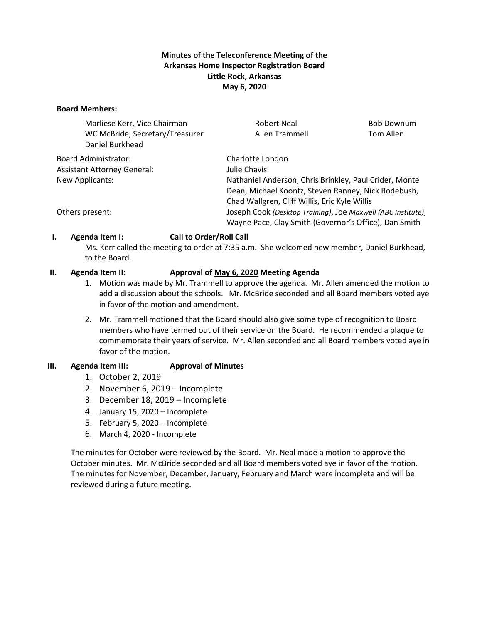## **Minutes of the Teleconference Meeting of the Arkansas Home Inspector Registration Board Little Rock, Arkansas May 6, 2020**

#### **Board Members:**

| Marliese Kerr, Vice Chairman<br>WC McBride, Secretary/Treasurer<br>Daniel Burkhead | Robert Neal<br>Allen Trammell                                | <b>Bob Downum</b><br>Tom Allen |  |
|------------------------------------------------------------------------------------|--------------------------------------------------------------|--------------------------------|--|
| Board Administrator:                                                               | Charlotte London                                             |                                |  |
| <b>Assistant Attorney General:</b>                                                 | Julie Chavis                                                 |                                |  |
| New Applicants:                                                                    | Nathaniel Anderson, Chris Brinkley, Paul Crider, Monte       |                                |  |
|                                                                                    | Dean, Michael Koontz, Steven Ranney, Nick Rodebush,          |                                |  |
|                                                                                    | Chad Wallgren, Cliff Willis, Eric Kyle Willis                |                                |  |
| Others present:                                                                    | Joseph Cook (Desktop Training), Joe Maxwell (ABC Institute), |                                |  |
|                                                                                    | Wayne Pace, Clay Smith (Governor's Office), Dan Smith        |                                |  |

## **I. Agenda Item I: Call to Order/Roll Call**

Ms. Kerr called the meeting to order at 7:35 a.m. She welcomed new member, Daniel Burkhead, to the Board.

#### **II. Agenda Item II: Approval of May 6, 2020 Meeting Agenda**

- 1. Motion was made by Mr. Trammell to approve the agenda. Mr. Allen amended the motion to add a discussion about the schools. Mr. McBride seconded and all Board members voted aye in favor of the motion and amendment.
- 2. Mr. Trammell motioned that the Board should also give some type of recognition to Board members who have termed out of their service on the Board. He recommended a plaque to commemorate their years of service. Mr. Allen seconded and all Board members voted aye in favor of the motion.

## **III. Agenda Item III: Approval of Minutes**

- 1. October 2, 2019
- 2. November 6, 2019 Incomplete
- 3. December 18, 2019 Incomplete
- 4. January 15, 2020 Incomplete
- 5. February 5, 2020 Incomplete
- 6. March 4, 2020 Incomplete

The minutes for October were reviewed by the Board. Mr. Neal made a motion to approve the October minutes. Mr. McBride seconded and all Board members voted aye in favor of the motion. The minutes for November, December, January, February and March were incomplete and will be reviewed during a future meeting.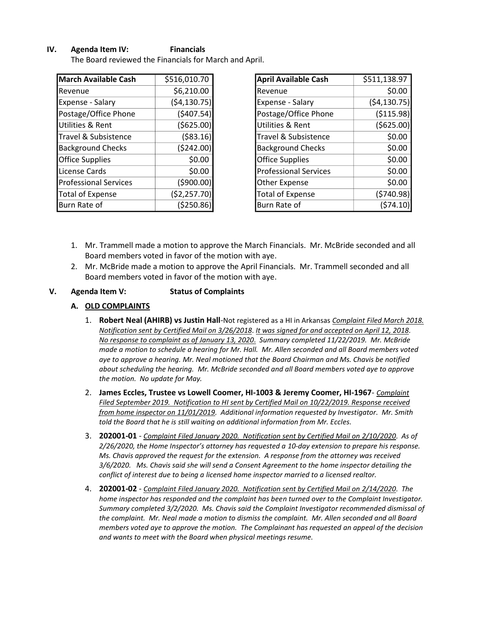## **IV. Agenda Item IV: Financials**

The Board reviewed the Financials for March and April.

| <b>March Available Cash</b>  | \$516,010.70 |
|------------------------------|--------------|
| Revenue                      | \$6,210.00   |
| <b>Expense - Salary</b>      | (54, 130.75) |
| Postage/Office Phone         | (\$407.54)   |
| <b>Utilities &amp; Rent</b>  | ( \$625.00)  |
| Travel & Subsistence         | ( \$83.16)   |
| <b>Background Checks</b>     | (5242.00)    |
| <b>Office Supplies</b>       | \$0.00       |
| License Cards                | \$0.00       |
| <b>Professional Services</b> | (5900.00)    |
| <b>Total of Expense</b>      | (\$2,257.70) |
| Burn Rate of                 | ( \$250.86)  |

| <b>April Available Cash</b>  | \$511,138.97  |
|------------------------------|---------------|
| Revenue                      | \$0.00        |
| Expense - Salary             | ( \$4,130.75) |
| Postage/Office Phone         | ( \$115.98)   |
| Utilities & Rent             | ( \$625.00]   |
| Travel & Subsistence         | \$0.00        |
| <b>Background Checks</b>     | \$0.00        |
| <b>Office Supplies</b>       | \$0.00        |
| <b>Professional Services</b> | \$0.00        |
| Other Expense                | \$0.00        |
| <b>Total of Expense</b>      | (5740.98)     |
| Burn Rate of                 | (\$74.10      |

- 1. Mr. Trammell made a motion to approve the March Financials. Mr. McBride seconded and all Board members voted in favor of the motion with aye.
- 2. Mr. McBride made a motion to approve the April Financials. Mr. Trammell seconded and all Board members voted in favor of the motion with aye.

#### **V. Agenda Item V: Status of Complaints**

## **A. OLD COMPLAINTS**

- 1. **Robert Neal (AHIRB) vs Justin Hall**-Not registered as a HI in Arkansas *Complaint Filed March 2018. Notification sent by Certified Mail on 3/26/2018*. *It was signed for and accepted on April 12, 2018. No response to complaint as of January 13, 2020*. *Summary completed 11/22/2019. Mr. McBride made a motion to schedule a hearing for Mr. Hall. Mr. Allen seconded and all Board members voted aye to approve a hearing. Mr. Neal motioned that the Board Chairman and Ms. Chavis be notified about scheduling the hearing. Mr. McBride seconded and all Board members voted aye to approve the motion. No update for May.*
- 2. **James Eccles, Trustee vs Lowell Coomer, HI-1003 & Jeremy Coomer, HI-1967** *Complaint Filed September 2019. Notification to HI sent by Certified Mail on 10/22/2019. Response received from home inspector on 11/01/2019. Additional information requested by Investigator. Mr. Smith told the Board that he is still waiting on additional information from Mr. Eccles.*
- 3. **202001-01** *Complaint Filed January 2020. Notification sent by Certified Mail on 2/10/2020*. *As of 2/26/2020, the Home Inspector's attorney has requested a 10-day extension to prepare his response. Ms. Chavis approved the request for the extension. A response from the attorney was received 3/6/2020. Ms. Chavis said she will send a Consent Agreement to the home inspector detailing the conflict of interest due to being a licensed home inspector married to a licensed realtor.*
- 4. **202001-02** *Complaint Filed January 2020. Notification sent by Certified Mail on 2/14/2020*. *The home inspector has responded and the complaint has been turned over to the Complaint Investigator. Summary completed 3/2/2020. Ms. Chavis said the Complaint Investigator recommended dismissal of the complaint. Mr. Neal made a motion to dismiss the complaint. Mr. Allen seconded and all Board members voted aye to approve the motion. The Complainant has requested an appeal of the decision and wants to meet with the Board when physical meetings resume.*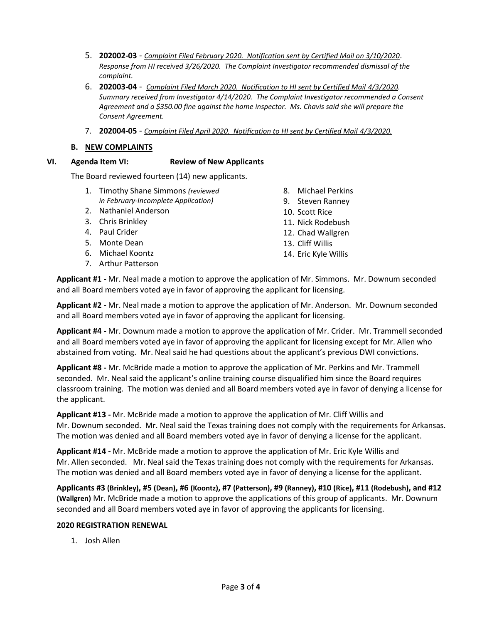- 5. **202002-03** *Complaint Filed February 2020. Notification sent by Certified Mail on 3/10/2020*. *Response from HI received 3/26/2020. The Complaint Investigator recommended dismissal of the complaint.*
- 6. **202003-04** *Complaint Filed March 2020. Notification to HI sent by Certified Mail 4/3/2020. Summary received from Investigator 4/14/2020. The Complaint Investigator recommended a Consent Agreement and a \$350.00 fine against the home inspector. Ms. Chavis said she will prepare the Consent Agreement.*
- 7. **202004-05** *Complaint Filed April 2020. Notification to HI sent by Certified Mail 4/3/2020.*

#### **B. NEW COMPLAINTS**

#### **VI. Agenda Item VI: Review of New Applicants**

The Board reviewed fourteen (14) new applicants.

- 1. Timothy Shane Simmons *(reviewed in February-Incomplete Application)*
- 2. Nathaniel Anderson
- 3. Chris Brinkley
- 4. Paul Crider
- 5. Monte Dean
- 6. Michael Koontz
- 7. Arthur Patterson
- 8. Michael Perkins
- 9. Steven Ranney
- 10. Scott Rice
- 11. Nick Rodebush
- 12. Chad Wallgren
- 13. Cliff Willis
- 14. Eric Kyle Willis

**Applicant #1 -** Mr. Neal made a motion to approve the application of Mr. Simmons. Mr. Downum seconded and all Board members voted aye in favor of approving the applicant for licensing.

**Applicant #2 -** Mr. Neal made a motion to approve the application of Mr. Anderson. Mr. Downum seconded and all Board members voted aye in favor of approving the applicant for licensing.

**Applicant #4 -** Mr. Downum made a motion to approve the application of Mr. Crider. Mr. Trammell seconded and all Board members voted aye in favor of approving the applicant for licensing except for Mr. Allen who abstained from voting. Mr. Neal said he had questions about the applicant's previous DWI convictions.

**Applicant #8 -** Mr. McBride made a motion to approve the application of Mr. Perkins and Mr. Trammell seconded. Mr. Neal said the applicant's online training course disqualified him since the Board requires classroom training. The motion was denied and all Board members voted aye in favor of denying a license for the applicant.

**Applicant #13 -** Mr. McBride made a motion to approve the application of Mr. Cliff Willis and Mr. Downum seconded. Mr. Neal said the Texas training does not comply with the requirements for Arkansas. The motion was denied and all Board members voted aye in favor of denying a license for the applicant.

**Applicant #14 -** Mr. McBride made a motion to approve the application of Mr. Eric Kyle Willis and Mr. Allen seconded. Mr. Neal said the Texas training does not comply with the requirements for Arkansas. The motion was denied and all Board members voted aye in favor of denying a license for the applicant.

Applicants #3 (Brinkley), #5 (Dean), #6 (Koontz), #7 (Patterson), #9 (Ranney), #10 (Rice), #11 (Rodebush), and #12 **(Wallgren)** Mr. McBride made a motion to approve the applications of this group of applicants. Mr. Downum seconded and all Board members voted aye in favor of approving the applicants for licensing.

## **2020 REGISTRATION RENEWAL**

1. Josh Allen